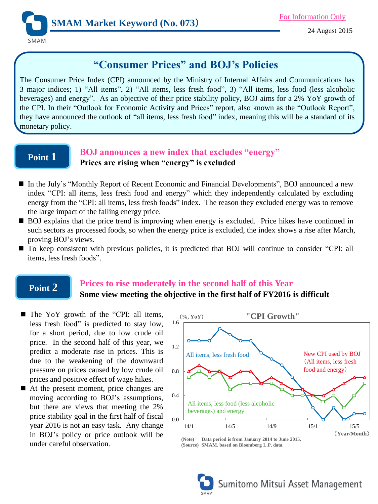

# **"Consumer Prices" and BOJ's Policies**

The Consumer Price Index (CPI) announced by the Ministry of Internal Affairs and Communications has 3 major indices; 1) "All items", 2) "All items, less fresh food", 3) "All items, less food (less alcoholic beverages) and energy". As an objective of their price stability policy, BOJ aims for a 2% YoY growth of the CPI. In their "Outlook for Economic Activity and Prices" report, also known as the "Outlook Report", they have announced the outlook of "all items, less fresh food" index, meaning this will be a standard of its monetary policy.

## **Point 1**

### **BOJ announces a new index that excludes "energy" Prices are rising when "energy" is excluded**

- In the July's "Monthly Report of Recent Economic and Financial Developments", BOJ announced a new index "CPI: all items, less fresh food and energy" which they independently calculated by excluding energy from the "CPI: all items, less fresh foods" index. The reason they excluded energy was to remove the large impact of the falling energy price.
- BOJ explains that the price trend is improving when energy is excluded. Price hikes have continued in such sectors as processed foods, so when the energy price is excluded, the index shows a rise after March, proving BOJ's views.
- To keep consistent with previous policies, it is predicted that BOJ will continue to consider "CPI: all items, less fresh foods".

## **Point 2**

### **Prices to rise moderately in the second half of this Year Some view meeting the objective in the first half of FY2016 is difficult**

- The YoY growth of the "CPI: all items, less fresh food" is predicted to stay low, for a short period, due to low crude oil price. In the second half of this year, we predict a moderate rise in prices. This is due to the weakening of the downward pressure on prices caused by low crude oil prices and positive effect of wage hikes.
- At the present moment, price changes are moving according to BOJ's assumptions, but there are views that meeting the 2% price stability goal in the first half of fiscal year 2016 is not an easy task. Any change in BOJ's policy or price outlook will be under careful observation.



**(Note) Data period is from January 2014 to June 2015. (Source) SMAM, based on Bloomberg L.P. data.**